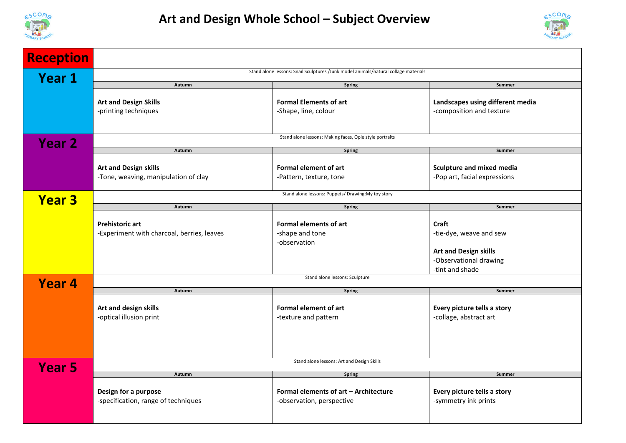



| <b>Reception</b> |                                                                                     |                                                                    |                                                                                                                      |  |
|------------------|-------------------------------------------------------------------------------------|--------------------------------------------------------------------|----------------------------------------------------------------------------------------------------------------------|--|
| Year 1           | Stand alone lessons: Snail Sculptures /Junk model animals/natural collage materials |                                                                    |                                                                                                                      |  |
|                  | Autumn                                                                              | <b>Spring</b>                                                      | Summer                                                                                                               |  |
|                  | <b>Art and Design Skills</b><br>-printing techniques                                | <b>Formal Elements of art</b><br>-Shape, line, colour              | Landscapes using different media<br>-composition and texture                                                         |  |
| <b>Year 2</b>    | Stand alone lessons: Making faces, Opie style portraits                             |                                                                    |                                                                                                                      |  |
|                  | Autumn                                                                              | <b>Spring</b>                                                      | Summer                                                                                                               |  |
|                  | <b>Art and Design skills</b><br>-Tone, weaving, manipulation of clay                | <b>Formal element of art</b><br>-Pattern, texture, tone            | <b>Sculpture and mixed media</b><br>-Pop art, facial expressions                                                     |  |
| <b>Year 3</b>    | Stand alone lessons: Puppets/ Drawing: My toy story                                 |                                                                    |                                                                                                                      |  |
|                  | Autumn                                                                              | <b>Spring</b>                                                      | Summer                                                                                                               |  |
|                  | <b>Prehistoric art</b><br>-Experiment with charcoal, berries, leaves                | <b>Formal elements of art</b><br>-shape and tone<br>-observation   | <b>Craft</b><br>-tie-dye, weave and sew<br><b>Art and Design skills</b><br>-Observational drawing<br>-tint and shade |  |
| <b>Year 4</b>    | Stand alone lessons: Sculpture                                                      |                                                                    |                                                                                                                      |  |
|                  | Autumn                                                                              | <b>Spring</b>                                                      | Summer                                                                                                               |  |
|                  | Art and design skills<br>-optical illusion print                                    | Formal element of art<br>-texture and pattern                      | Every picture tells a story<br>-collage, abstract art                                                                |  |
| <b>Year 5</b>    | Stand alone lessons: Art and Design Skills                                          |                                                                    |                                                                                                                      |  |
|                  | Autumn                                                                              | <b>Spring</b>                                                      | Summer                                                                                                               |  |
|                  | Design for a purpose<br>-specification, range of techniques                         | Formal elements of art - Architecture<br>-observation, perspective | Every picture tells a story<br>-symmetry ink prints                                                                  |  |